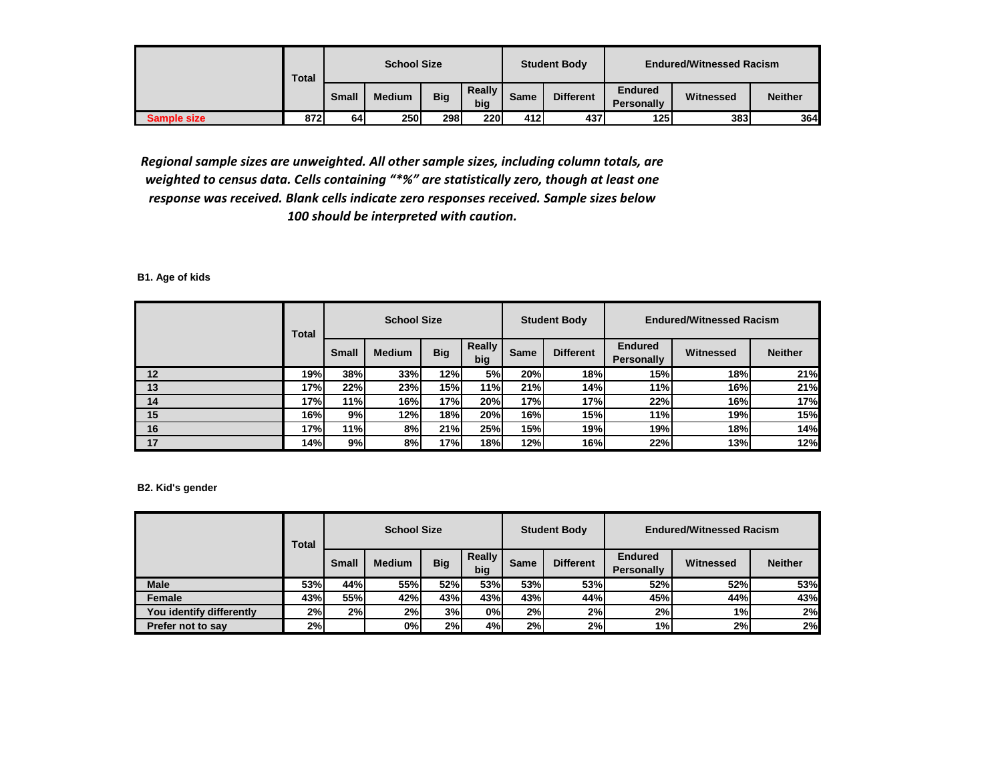|             | <b>Total</b> |              | <b>School Size</b> |            |               |      | <b>Student Body</b> | <b>Endured/Witnessed Racism</b> |           |                |  |
|-------------|--------------|--------------|--------------------|------------|---------------|------|---------------------|---------------------------------|-----------|----------------|--|
|             |              | <b>Small</b> | <b>Medium</b>      | <b>Big</b> | Really<br>big | Same | <b>Different</b>    | <b>Endured</b><br>Personally    | Witnessed | <b>Neither</b> |  |
| Sample size | 872          | 64           | 250                | 298        | 220           | 412  | 437                 | 125                             | 383       | 364I           |  |

*Regional sample sizes are unweighted. All other sample sizes, including column totals, are weighted to census data. Cells containing "\*%" are statistically zero, though at least one response was received. Blank cells indicate zero responses received. Sample sizes below 100 should be interpreted with caution.*

**B1. Age of kids**

|    | Total |              | <b>School Size</b> |            |               |      | <b>Student Body</b> |                                     | <b>Endured/Witnessed Racism</b> |                |
|----|-------|--------------|--------------------|------------|---------------|------|---------------------|-------------------------------------|---------------------------------|----------------|
|    |       | <b>Small</b> | <b>Medium</b>      | <b>Big</b> | Really<br>big | Same | <b>Different</b>    | <b>Endured</b><br><b>Personally</b> | Witnessed                       | <b>Neither</b> |
| 12 | 19%l  | 38%          | 33%                | 12%        | 5%l           | 20%  | 18%                 | 15%                                 | 18%                             | 21%            |
| 13 | 17%   | 22%          | 23%                | 15%        | 11%           | 21%  | 14%                 | 11%                                 | 16%                             | 21%            |
| 14 | 17%I  | 11%          | 16%                | 17%        | 20%           | 17%  | 17%                 | 22%                                 | 16%                             | 17%            |
| 15 | 16%   | 9%           | 12%                | 18%        | 20%           | 16%  | 15%                 | 11%                                 | 19%                             | 15%            |
| 16 | 17%l  | 11%          | 8%                 | 21%        | 25%           | 15%  | 19%                 | <b>19%</b>                          | 18%                             | 14%            |
| 17 | 14%l  | 9%           | 8%                 | 17%        | 18%           | 12%  | 16%                 | 22%                                 | 13%                             | 12%            |

**B2. Kid's gender**

|                          | Total      |              | <b>School Size</b> |            |                      |      | <b>Student Body</b> |                                     | <b>Endured/Witnessed Racism</b> |                |
|--------------------------|------------|--------------|--------------------|------------|----------------------|------|---------------------|-------------------------------------|---------------------------------|----------------|
|                          |            | <b>Small</b> | <b>Medium</b>      | <b>Big</b> | <b>Really</b><br>big | Same | <b>Different</b>    | <b>Endured</b><br><b>Personally</b> | Witnessed                       | <b>Neither</b> |
| <b>Male</b>              | <b>53%</b> | 44%          | 55%                | <b>52%</b> | 53%                  | 53%  | 53%                 | <b>52%</b>                          | 52%                             | 53%            |
| Female                   | 43%        | 55%l         | 42%                | 43%        | 43%                  | 43%  | 44%                 | 45%                                 | 44%                             | 43%            |
| You identify differently | 2%         | 2%           | 2%                 | 3%         | 0%                   | 2%   | 2%                  | 2%                                  | 1%                              | 2%             |
| Prefer not to say        | 2%         |              | 0%                 | 2%         | 4%                   | 2%   | 2%                  | 1%                                  | 2%                              | 2%             |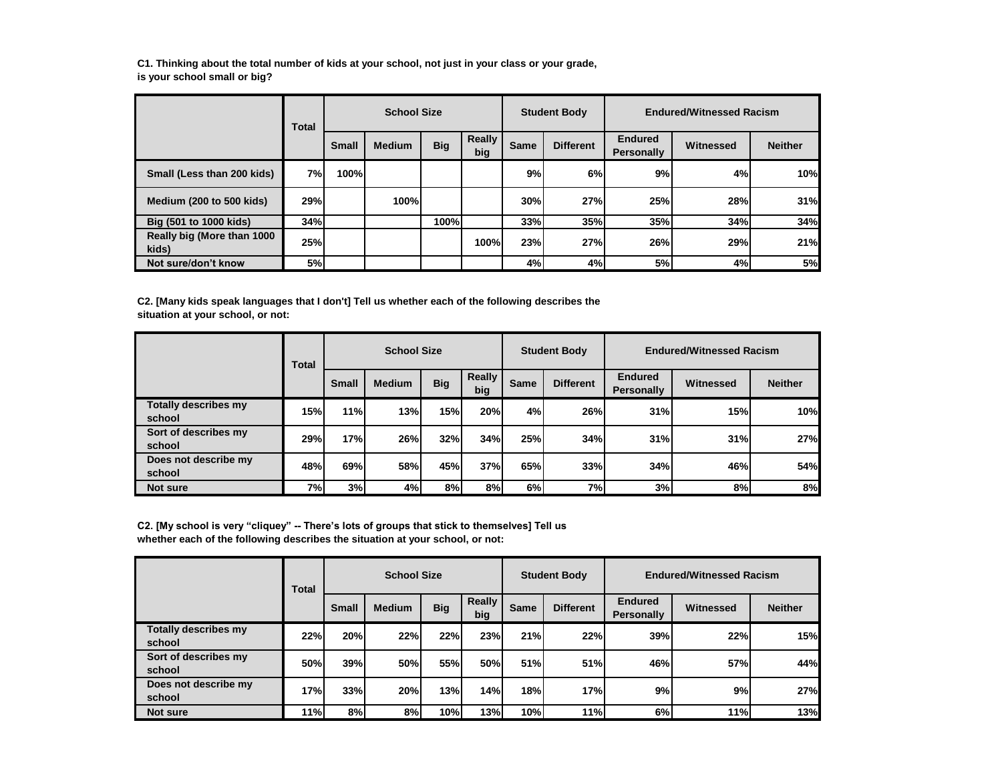**C1. Thinking about the total number of kids at your school, not just in your class or your grade, is your school small or big?**

|                                     | <b>Total</b> |              | <b>School Size</b> |            |                      |      | <b>Student Body</b> |                                     | <b>Endured/Witnessed Racism</b> |                |
|-------------------------------------|--------------|--------------|--------------------|------------|----------------------|------|---------------------|-------------------------------------|---------------------------------|----------------|
|                                     |              | <b>Small</b> | <b>Medium</b>      | <b>Big</b> | <b>Really</b><br>big | Same | <b>Different</b>    | <b>Endured</b><br><b>Personally</b> | Witnessed                       | <b>Neither</b> |
| Small (Less than 200 kids)          | 7%I          | 100%         |                    |            |                      | 9%   | 6%                  | 9%                                  | 4%                              | 10%            |
| <b>Medium (200 to 500 kids)</b>     | 29%          |              | 100%l              |            |                      | 30%  | 27%                 | <b>25%</b>                          | 28%                             | 31%            |
| Big (501 to 1000 kids)              | 34%          |              |                    | 100%l      |                      | 33%  | 35%                 | 35%                                 | 34%                             | 34%            |
| Really big (More than 1000<br>kids) | 25%          |              |                    |            | 100%                 | 23%  | 27%                 | 26%                                 | 29%                             | 21%            |
| Not sure/don't know                 | 5%           |              |                    |            |                      | 4%   | 4%                  | 5%                                  | 4%                              | 5%             |

**C2. [Many kids speak languages that I don't] Tell us whether each of the following describes the situation at your school, or not:**

|                                       | Total     |              | <b>School Size</b> |            |               |      | <b>Student Body</b> |                                     | <b>Endured/Witnessed Racism</b> |                |
|---------------------------------------|-----------|--------------|--------------------|------------|---------------|------|---------------------|-------------------------------------|---------------------------------|----------------|
|                                       |           | <b>Small</b> | <b>Medium</b>      | <b>Big</b> | Really<br>big | Same | <b>Different</b>    | <b>Endured</b><br><b>Personally</b> | Witnessed                       | <b>Neither</b> |
| <b>Totally describes my</b><br>school | 15%       | 11%          | 13%                | 15%        | 20%           | 4%   | 26%                 | 31%                                 | 15%                             | 10%            |
| Sort of describes my<br>school        | 29%       | 17%          | 26%                | 32%        | 34%           | 25%  | 34%                 | 31%                                 | 31%                             | 27%            |
| Does not describe my<br>school        | 48%       | 69%          | <b>58%</b>         | 45%        | 37%           | 65%  | 33%                 | 34%                                 | 46%                             | 54%            |
| Not sure                              | <b>7%</b> | 3%           | 4%                 | 8%         | 8%            | 6%   | 7%                  | 3%                                  | 8%                              | 8%             |

**C2. [My school is very "cliquey" -- There's lots of groups that stick to themselves] Tell us whether each of the following describes the situation at your school, or not:**

|                                | Total |              | <b>School Size</b> |            |               |      | <b>Student Body</b> |                                     | <b>Endured/Witnessed Racism</b> |                |
|--------------------------------|-------|--------------|--------------------|------------|---------------|------|---------------------|-------------------------------------|---------------------------------|----------------|
|                                |       | <b>Small</b> | <b>Medium</b>      | <b>Big</b> | Really<br>big | Same | <b>Different</b>    | <b>Endured</b><br><b>Personally</b> | Witnessed                       | <b>Neither</b> |
| Totally describes my<br>school | 22%   | 20%          | 22%                | 22%        | 23%           | 21%  | 22%                 | 39%                                 | 22%                             | 15%            |
| Sort of describes my<br>school | 50%   | 39%          | 50%                | 55%        | 50%           | 51%  | 51%                 | 46%                                 | 57%                             | 44%            |
| Does not describe my<br>school | 17%l  | 33%          | 20%                | 13%        | 14%           | 18%  | 17%                 | 9%I                                 | 9%                              | 27%            |
| Not sure                       | 11%   | 8%           | 8%I                | 10%        | 13%           | 10%  | 11%                 | 6%                                  | 11%                             | 13%            |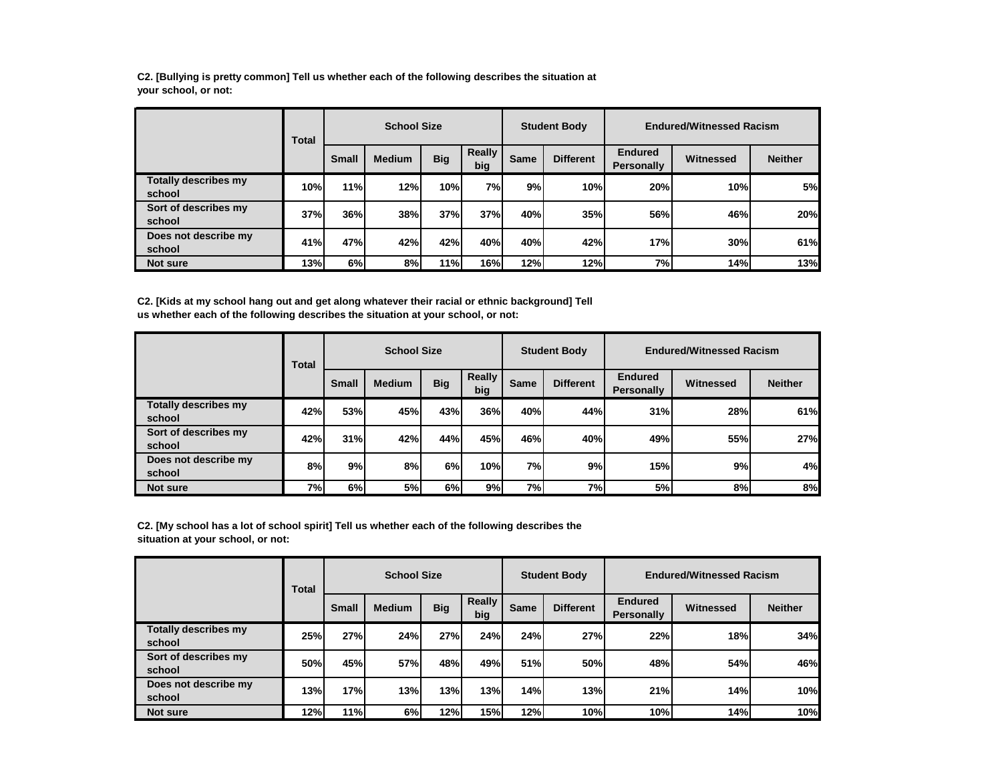**C2. [Bullying is pretty common] Tell us whether each of the following describes the situation at your school, or not:**

|                                       | Total |       | <b>School Size</b> |            |                      |             | <b>Student Body</b> |                                     | <b>Endured/Witnessed Racism</b> |                |
|---------------------------------------|-------|-------|--------------------|------------|----------------------|-------------|---------------------|-------------------------------------|---------------------------------|----------------|
|                                       |       | Small | <b>Medium</b>      | <b>Big</b> | <b>Really</b><br>big | <b>Same</b> | <b>Different</b>    | <b>Endured</b><br><b>Personally</b> | Witnessed                       | <b>Neither</b> |
| <b>Totally describes my</b><br>school | 10%   | 11%   | 12%                | 10%        | 7%                   | 9%          | 10%                 | 20%                                 | 10%                             | 5%             |
| Sort of describes my<br>school        | 37%   | 36%   | 38%                | 37%        | 37%                  | 40%         | 35%                 | 56%                                 | 46%                             | 20%            |
| Does not describe my<br>school        | 41%   | 47%   | 42%                | 42%        | 40%                  | 40%         | 42%                 | 17%                                 | 30%                             | 61%            |
| Not sure                              | 13%   | 6%    | 8%                 | 11%        | 16%                  | 12%         | 12%                 | 7%                                  | 14%                             | 13%            |

**C2. [Kids at my school hang out and get along whatever their racial or ethnic background] Tell us whether each of the following describes the situation at your school, or not:**

|                                       | Total |              | <b>School Size</b> |            |               |           | <b>Student Body</b> |                              | <b>Endured/Witnessed Racism</b> |                |
|---------------------------------------|-------|--------------|--------------------|------------|---------------|-----------|---------------------|------------------------------|---------------------------------|----------------|
|                                       |       | <b>Small</b> | <b>Medium</b>      | <b>Big</b> | Really<br>big | Same      | <b>Different</b>    | <b>Endured</b><br>Personally | Witnessed                       | <b>Neither</b> |
| <b>Totally describes my</b><br>school | 42%   | 53%          | 45%                | 43%        | 36%           | 40%       | 44%                 | 31%                          | 28%                             | 61%            |
| Sort of describes my<br>school        | 42%   | 31%          | 42%                | 44%        | 45%           | 46%       | 40%                 | 49%                          | 55%                             | 27%            |
| Does not describe my<br>school        | 8%    | 9%           | 8%                 | 6%         | 10%           | <b>7%</b> | 9%                  | 15%                          | 9%                              | 4%             |
| Not sure                              | 7%    | 6%           | 5%                 | 6%         | 9%            | <b>7%</b> | 7%                  | 5%                           | 8%                              | 8%             |

**C2. [My school has a lot of school spirit] Tell us whether each of the following describes the situation at your school, or not:**

|                                | Total      |              | <b>School Size</b> |            |               |      | <b>Student Body</b> |                                     | <b>Endured/Witnessed Racism</b> |                |
|--------------------------------|------------|--------------|--------------------|------------|---------------|------|---------------------|-------------------------------------|---------------------------------|----------------|
|                                |            | <b>Small</b> | <b>Medium</b>      | <b>Big</b> | Really<br>big | Same | <b>Different</b>    | <b>Endured</b><br><b>Personally</b> | Witnessed                       | <b>Neither</b> |
| Totally describes my<br>school | <b>25%</b> | 27%          | 24%                | 27%        | 24%           | 24%  | 27%                 | 22%                                 | 18%                             | 34%            |
| Sort of describes my<br>school | 50%        | 45%          | 57%                | 48%        | 49%           | 51%  | 50%                 | 48%                                 | 54%                             | 46%            |
| Does not describe my<br>school | 13%        | 17%          | 13%                | 13%        | 13%           | 14%  | 13%                 | 21%                                 | 14%                             | 10%            |
| Not sure                       | 12%        | 11%          | 6%I                | 12%        | 15%           | 12%  | 10%                 | 10%                                 | 14%                             | 10%            |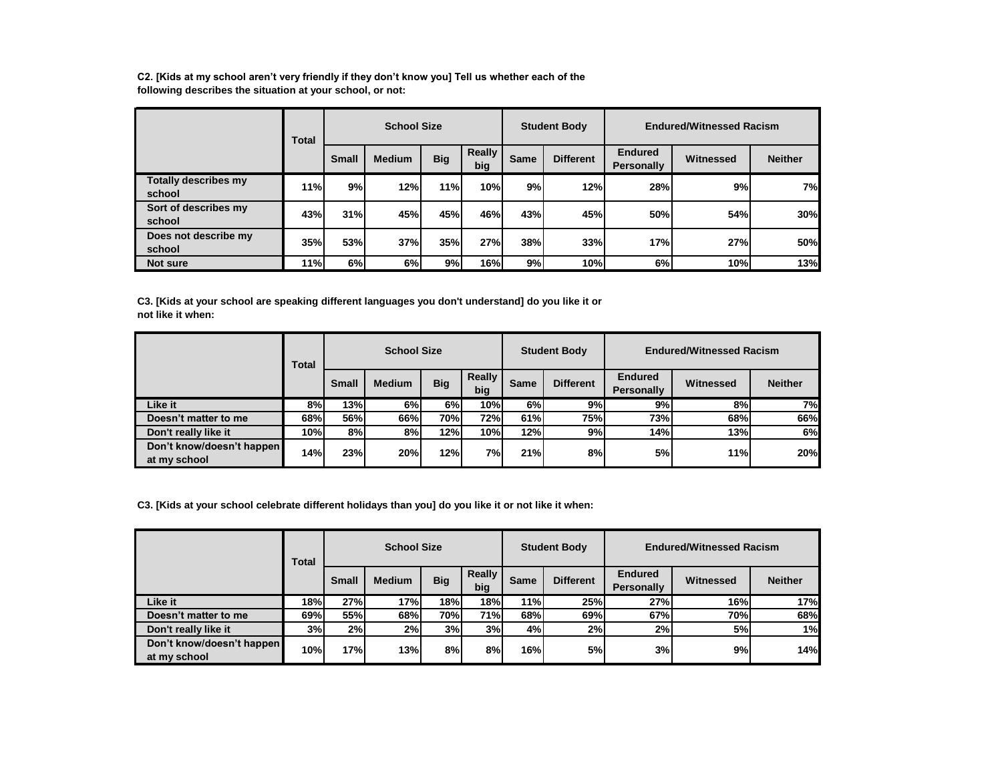**C2. [Kids at my school aren't very friendly if they don't know you] Tell us whether each of the following describes the situation at your school, or not:**

|                                | Total |              | <b>School Size</b> |            |                      |      | <b>Student Body</b> |                                     | <b>Endured/Witnessed Racism</b> |                |
|--------------------------------|-------|--------------|--------------------|------------|----------------------|------|---------------------|-------------------------------------|---------------------------------|----------------|
|                                |       | <b>Small</b> | <b>Medium</b>      | <b>Big</b> | <b>Really</b><br>big | Same | <b>Different</b>    | <b>Endured</b><br><b>Personally</b> | Witnessed                       | <b>Neither</b> |
| Totally describes my<br>school | 11%   | 9%           | 12%                | 11%        | 10%                  | 9%   | 12%                 | 28%                                 | 9%                              | 7%             |
| Sort of describes my<br>school | 43%   | 31%          | 45%                | 45%        | 46%                  | 43%  | 45%                 | 50%                                 | 54%                             | 30%            |
| Does not describe my<br>school | 35%   | 53%          | 37%                | 35%        | 27%                  | 38%  | 33%                 | 17%                                 | 27%                             | 50%            |
| Not sure                       | 11%   | 6%l          | 6%                 | 9%         | 16%                  | 9%   | 10%                 | 6%                                  | 10%                             | 13%            |

**C3. [Kids at your school are speaking different languages you don't understand] do you like it or not like it when:**

|                                           | Total |              | <b>School Size</b> |                  |               |      | <b>Student Body</b> |                                     | <b>Endured/Witnessed Racism</b> |                |
|-------------------------------------------|-------|--------------|--------------------|------------------|---------------|------|---------------------|-------------------------------------|---------------------------------|----------------|
|                                           |       | <b>Small</b> | <b>Medium</b>      | <b>Big</b>       | Really<br>big | Same | <b>Different</b>    | <b>Endured</b><br><b>Personally</b> | Witnessed                       | <b>Neither</b> |
| Like it                                   | 8%    | 13%          | 6%                 | 6%               | 10%           | 6%   | 9%                  | 9% l                                | 8%                              | 7%             |
| Doesn't matter to me                      | 68%l  | 56%          | 66%                | 70% <sub>1</sub> | <b>72%</b>    | 61%  | <b>75%</b>          | 73%                                 | 68%                             | 66%            |
| Don't really like it                      | 10%   | 8%           | 8%                 | 12%              | 10%           | 12%  | 9%                  | 14%                                 | 13%                             | 6%             |
| Don't know/doesn't happen<br>at my school | 14%   | 23%          | 20%                | 12%              | 7%            | 21%  | 8%                  | 5%                                  | 11%                             | 20%            |

**C3. [Kids at your school celebrate different holidays than you] do you like it or not like it when:**

|                                           | Total |              | <b>School Size</b> |            |               |             | <b>Student Body</b> |                                     | <b>Endured/Witnessed Racism</b> |                |
|-------------------------------------------|-------|--------------|--------------------|------------|---------------|-------------|---------------------|-------------------------------------|---------------------------------|----------------|
|                                           |       | <b>Small</b> | <b>Medium</b>      | <b>Big</b> | Really<br>big | <b>Same</b> | <b>Different</b>    | <b>Endured</b><br><b>Personally</b> | Witnessed                       | <b>Neither</b> |
| Like it                                   | 18%   | 27%          | 17%                | 18%l       | 18%           | 11%         | 25%                 | 27%                                 | 16%                             | 17%            |
| Doesn't matter to me                      | 69%   | 55%          | 68%                | <b>70%</b> | 71%           | 68%         | 69%                 | 67%                                 | 70%                             | 68%            |
| Don't really like it                      | 3%    | 2%           | 2%                 | 3%         | 3%            | 4%l         | 2%                  | 2%                                  | 5%                              | 1%             |
| Don't know/doesn't happen<br>at my school | 10%   | 17%          | 13%                | 8%         | 8%            | 16%         | 5%                  | 3%                                  | 9%I                             | 14%            |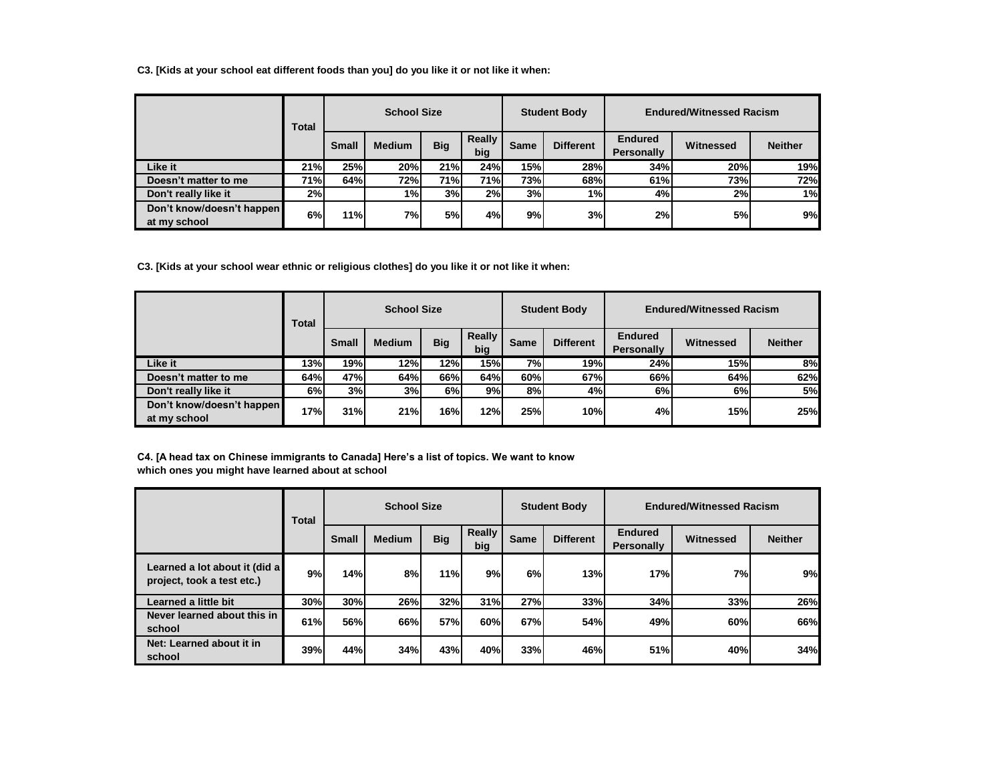**C3. [Kids at your school eat different foods than you] do you like it or not like it when:**

|                                           | Total      |              | <b>School Size</b> |            |               |             | <b>Student Body</b> |                                     | <b>Endured/Witnessed Racism</b> |                |
|-------------------------------------------|------------|--------------|--------------------|------------|---------------|-------------|---------------------|-------------------------------------|---------------------------------|----------------|
|                                           |            | <b>Small</b> | <b>Medium</b>      | <b>Big</b> | Really<br>big | <b>Same</b> | <b>Different</b>    | <b>Endured</b><br><b>Personally</b> | Witnessed                       | <b>Neither</b> |
| Like it                                   | 21%        | 25%          | 20%                | 21%        | 24%           | 15%         | 28%                 | 34%                                 | 20%                             | 19%            |
| Doesn't matter to me                      | <b>71%</b> | 64%          | 72%                | 71%        | 71%           | 73%         | 68%                 | 61%                                 | 73%                             | 72%            |
| Don't really like it                      | 2%         |              | 1%                 | 3%         | 2%            | 3%          | 1%                  | 4%                                  | 2%                              | 1%             |
| Don't know/doesn't happen<br>at my school | 6%         | <b>11%</b>   | 7%                 | 5%         | 4%            | 9%          | 3%                  | 2%                                  | 5%                              | 9%             |

**C3. [Kids at your school wear ethnic or religious clothes] do you like it or not like it when:**

|                                           | Total |              | <b>School Size</b> |            |                      |      | <b>Student Body</b> | <b>Endured/Witnessed Racism</b>     |           |                |  |
|-------------------------------------------|-------|--------------|--------------------|------------|----------------------|------|---------------------|-------------------------------------|-----------|----------------|--|
|                                           |       | <b>Small</b> | <b>Medium</b>      | <b>Big</b> | <b>Really</b><br>big | Same | <b>Different</b>    | <b>Endured</b><br><b>Personally</b> | Witnessed | <b>Neither</b> |  |
| Like it                                   | 13%   | <b>19%</b>   | 12%                | 12%        | 15%                  | 7%I  | <b>19%</b>          | 24%                                 | 15%       | 8%             |  |
| Doesn't matter to me                      | 64%   | 47%          | 64%                | 66%        | 64%                  | 60%  | 67%                 | 66%                                 | 64%       | 62%            |  |
| Don't really like it                      | 6%    | 3%           | 3%                 | 6%         | 9%                   | 8%   | 4%                  | 6%I                                 | 6%        | <b>5%</b>      |  |
| Don't know/doesn't happen<br>at my school | 17%l  | 31%          | 21%                | 16%        | 12%                  | 25%  | 10%                 | 4%                                  | 15%       | 25%            |  |

**C4. [A head tax on Chinese immigrants to Canada] Here's a list of topics. We want to know which ones you might have learned about at school**

|                                                             | Total      |              | <b>School Size</b> |            |               |      | <b>Student Body</b> | <b>Endured/Witnessed Racism</b>     |           |                |  |
|-------------------------------------------------------------|------------|--------------|--------------------|------------|---------------|------|---------------------|-------------------------------------|-----------|----------------|--|
|                                                             |            | <b>Small</b> | <b>Medium</b>      | <b>Big</b> | Really<br>big | Same | <b>Different</b>    | <b>Endured</b><br><b>Personally</b> | Witnessed | <b>Neither</b> |  |
| Learned a lot about it (did a<br>project, took a test etc.) | 9%         | 14%          | 8%                 | 11%        | 9%            | 6%   | 13%                 | 17%                                 | 7%        | 9%             |  |
| Learned a little bit                                        | 30%l       | 30%          | 26%                | 32%        | 31%           | 27%  | 33%                 | 34%                                 | 33%       | 26%            |  |
| Never learned about this in<br>school                       | 61%        | 56%          | 66%                | 57%        | 60%           | 67%  | <b>54%</b>          | 49%                                 | 60%       | 66%            |  |
| Net: Learned about it in<br>school                          | <b>39%</b> | 44%          | 34%                | 43%        | 40%           | 33%  | 46%                 | 51%                                 | 40%       | 34%            |  |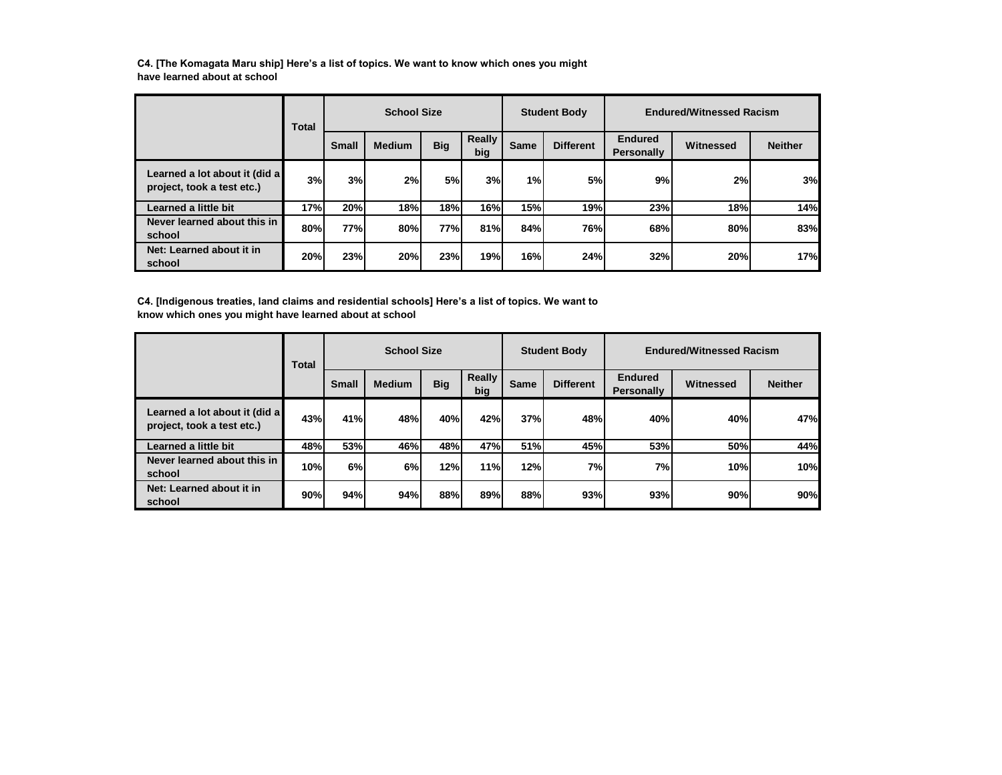**C4. [The Komagata Maru ship] Here's a list of topics. We want to know which ones you might have learned about at school**

|                                                             | Total |              | <b>School Size</b> |            |               |      | <b>Student Body</b> |                              | <b>Endured/Witnessed Racism</b> |                |
|-------------------------------------------------------------|-------|--------------|--------------------|------------|---------------|------|---------------------|------------------------------|---------------------------------|----------------|
|                                                             |       | <b>Small</b> | <b>Medium</b>      | <b>Big</b> | Really<br>big | Same | <b>Different</b>    | <b>Endured</b><br>Personally | Witnessed                       | <b>Neither</b> |
| Learned a lot about it (did a<br>project, took a test etc.) | 3%    | 3%           | 2%                 | 5%         | 3%            | 1%   | 5%                  | 9%                           | 2%                              | 3%             |
| Learned a little bit                                        | 17%   | 20%          | 18%                | 18%        | 16%           | 15%  | 19%                 | 23%                          | 18%                             | 14%            |
| Never learned about this in<br>school                       | 80%   | 77%          | 80%                | 77%l       | 81%           | 84%  | 76%                 | 68%                          | 80%                             | 83%            |
| Net: Learned about it in<br>school                          | 20%   | 23%          | 20%                | 23%        | 19%           | 16%  | 24%                 | 32%                          | 20%                             | 17%            |

**C4. [Indigenous treaties, land claims and residential schools] Here's a list of topics. We want to know which ones you might have learned about at school**

|                                                             | Total |              | <b>School Size</b> |            |               |      | <b>Student Body</b> |                                     | <b>Endured/Witnessed Racism</b> |                |
|-------------------------------------------------------------|-------|--------------|--------------------|------------|---------------|------|---------------------|-------------------------------------|---------------------------------|----------------|
|                                                             |       | <b>Small</b> | <b>Medium</b>      | <b>Big</b> | Really<br>big | Same | <b>Different</b>    | <b>Endured</b><br><b>Personally</b> | Witnessed                       | <b>Neither</b> |
| Learned a lot about it (did a<br>project, took a test etc.) | 43%   | 41%          | 48%                | 40%        | 42%           | 37%  | 48%                 | 40%                                 | 40%                             | 47%            |
| Learned a little bit                                        | 48%   | 53%          | 46%                | 48%        | 47%           | 51%  | 45%                 | 53%                                 | 50%                             | 44%            |
| Never learned about this in<br>school                       | 10%   | 6%           | 6%                 | 12%        | 11%           | 12%  | 7%                  | 7%                                  | 10%                             | 10%            |
| Net: Learned about it in<br>school                          | 90%   | 94%          | 94%                | 88%        | 89%           | 88%  | 93%                 | 93%                                 | 90%                             | 90%            |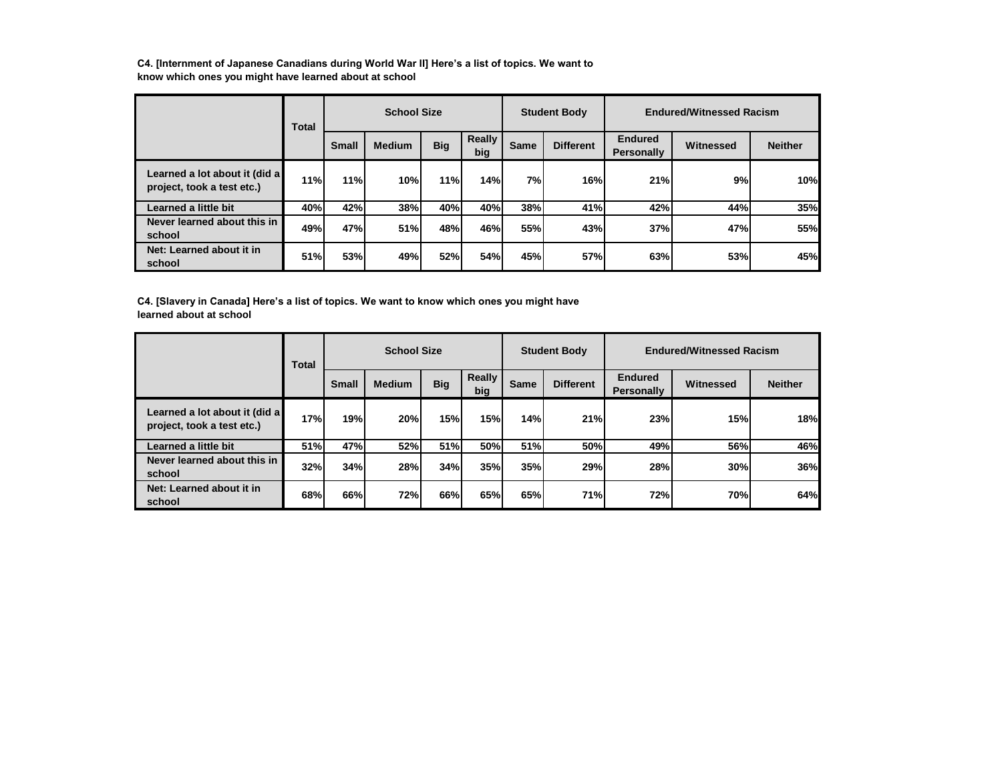**C4. [Internment of Japanese Canadians during World War II] Here's a list of topics. We want to know which ones you might have learned about at school**

|                                                             | Total |              | <b>School Size</b> |            |               |            | <b>Student Body</b> |                              | <b>Endured/Witnessed Racism</b> |                |
|-------------------------------------------------------------|-------|--------------|--------------------|------------|---------------|------------|---------------------|------------------------------|---------------------------------|----------------|
|                                                             |       | <b>Small</b> | <b>Medium</b>      | <b>Big</b> | Really<br>big | Same       | <b>Different</b>    | <b>Endured</b><br>Personally | Witnessed                       | <b>Neither</b> |
| Learned a lot about it (did a<br>project, took a test etc.) | 11%   | 11%          | 10%                | 11%        | 14%           | 7%         | 16%                 | 21%                          | 9%                              | 10%            |
| Learned a little bit                                        | 40%   | 42%          | 38%                | 40%        | 40%           | 38%        | 41%                 | 42%                          | 44%                             | 35%            |
| Never learned about this in<br>school                       | 49%   | 47%          | 51%                | 48%        | 46%           | <b>55%</b> | 43%                 | 37%                          | 47%                             | 55%            |
| Net: Learned about it in<br>school                          | 51%   | 53%          | 49%                | 52%        | 54%           | 45%        | 57%                 | 63%                          | 53%                             | 45%            |

**C4. [Slavery in Canada] Here's a list of topics. We want to know which ones you might have learned about at school**

|                                                             | Total      |              | <b>School Size</b> |            |               |      | <b>Student Body</b> |                              | <b>Endured/Witnessed Racism</b> |                |
|-------------------------------------------------------------|------------|--------------|--------------------|------------|---------------|------|---------------------|------------------------------|---------------------------------|----------------|
|                                                             |            | <b>Small</b> | <b>Medium</b>      | <b>Big</b> | Really<br>big | Same | <b>Different</b>    | <b>Endured</b><br>Personally | Witnessed                       | <b>Neither</b> |
| Learned a lot about it (did a<br>project, took a test etc.) | 17%        | 19%          | 20%                | 15%        | 15%           | 14%  | 21%                 | 23%                          | 15%                             | 18%            |
| Learned a little bit                                        | <b>51%</b> | 47%          | 52%                | 51%        | 50%           | 51%  | 50%                 | 49%                          | 56%                             | 46%            |
| Never learned about this in<br>school                       | 32%        | 34%          | 28%                | 34%        | <b>35%</b>    | 35%  | 29%                 | 28%                          | 30%                             | 36%            |
| Net: Learned about it in<br>school                          | 68%        | 66%          | 72%                | 66%l       | 65%           | 65%  | 71%                 | 72%                          | 70%                             | 64%            |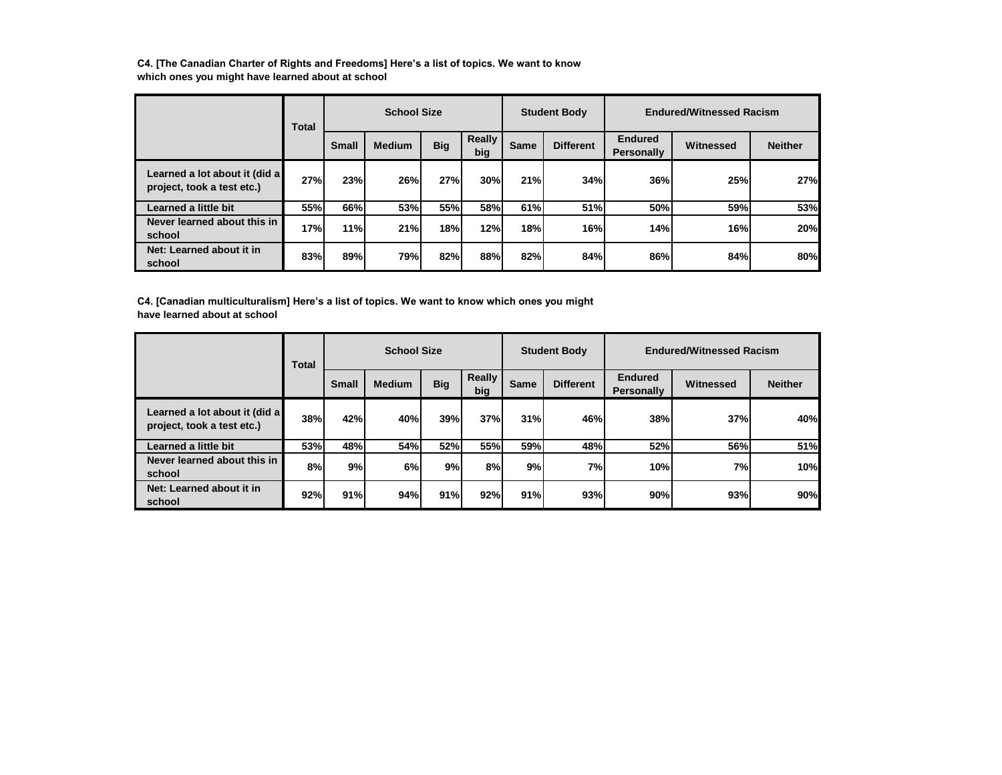**C4. [The Canadian Charter of Rights and Freedoms] Here's a list of topics. We want to know which ones you might have learned about at school**

|                                                             | Total      |              | <b>School Size</b> |            |               |      | <b>Student Body</b> |                                     | <b>Endured/Witnessed Racism</b> |                |
|-------------------------------------------------------------|------------|--------------|--------------------|------------|---------------|------|---------------------|-------------------------------------|---------------------------------|----------------|
|                                                             |            | <b>Small</b> | <b>Medium</b>      | <b>Big</b> | Really<br>big | Same | <b>Different</b>    | <b>Endured</b><br><b>Personally</b> | <b>Witnessed</b>                | <b>Neither</b> |
| Learned a lot about it (did a<br>project, took a test etc.) | 27%        | 23%          | 26%                | 27%        | 30%           | 21%  | 34%                 | <b>36%</b>                          | 25%                             | 27%            |
| Learned a little bit                                        | <b>55%</b> | 66%          | 53%                | 55%l       | <b>58%</b>    | 61%  | 51%                 | 50%                                 | 59%                             | 53%            |
| Never learned about this in<br>school                       | 17%        | 11%          | 21%                | 18%        | 12%           | 18%  | 16%                 | 14%                                 | 16%                             | 20%            |
| Net: Learned about it in<br>school                          | 83%        | 89%          | 79%                | 82%        | 88%           | 82%  | 84%                 | 86%                                 | 84%                             | 80%            |

**C4. [Canadian multiculturalism] Here's a list of topics. We want to know which ones you might have learned about at school**

|                                                             | Total |              | <b>School Size</b> |            |               |      | <b>Student Body</b> |                                     | <b>Endured/Witnessed Racism</b> |                |
|-------------------------------------------------------------|-------|--------------|--------------------|------------|---------------|------|---------------------|-------------------------------------|---------------------------------|----------------|
|                                                             |       | <b>Small</b> | <b>Medium</b>      | <b>Big</b> | Really<br>big | Same | <b>Different</b>    | <b>Endured</b><br><b>Personally</b> | Witnessed                       | <b>Neither</b> |
| Learned a lot about it (did a<br>project, took a test etc.) | 38%   | 42%          | 40%                | 39%        | 37%           | 31%  | 46%                 | <b>38%</b>                          | 37%                             | 40%            |
| Learned a little bit                                        | 53%   | 48%          | 54%                | 52%l       | 55%           | 59%  | 48%                 | <b>52%</b>                          | 56%                             | 51%            |
| Never learned about this in<br>school                       | 8%    | 9%           | 6%                 | 9%         | 8%            | 9%   | 7%                  | 10%                                 | 7%                              | 10%            |
| Net: Learned about it in<br>school                          | 92%   | 91%          | 94%                | 91%        | 92%           | 91%  | 93%                 | 90%                                 | 93%                             | 90%            |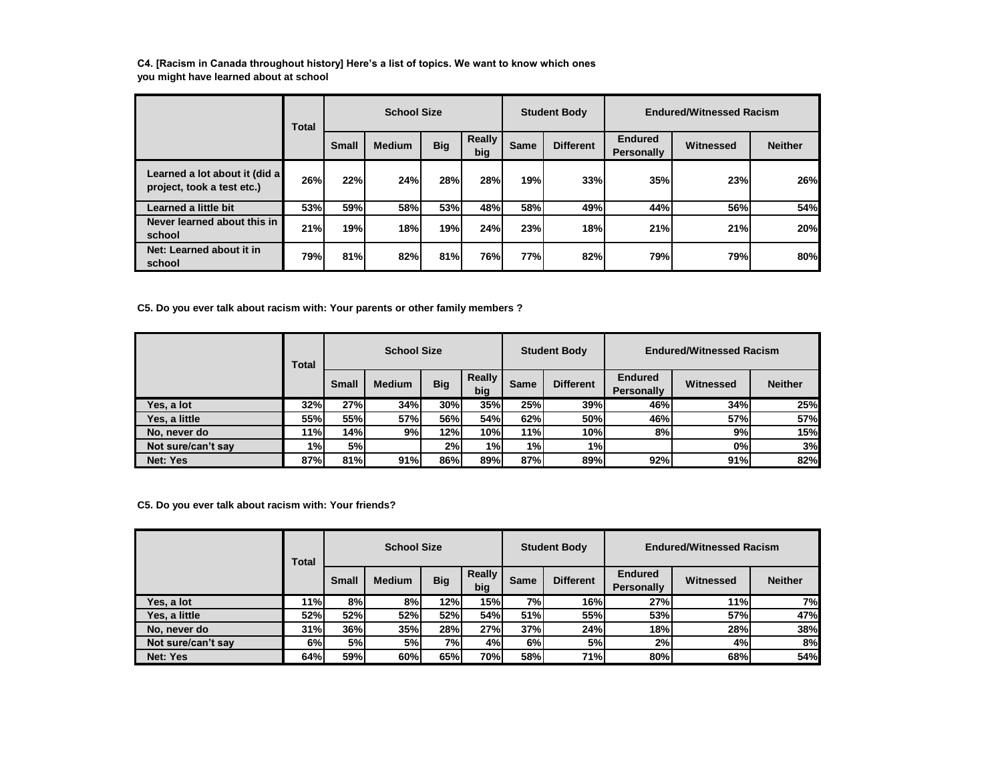**C4. [Racism in Canada throughout history] Here's a list of topics. We want to know which ones you might have learned about at school**

|                                                             | Total |              | <b>School Size</b> |            |               |      | <b>Student Body</b> |                                     | <b>Endured/Witnessed Racism</b> |                |
|-------------------------------------------------------------|-------|--------------|--------------------|------------|---------------|------|---------------------|-------------------------------------|---------------------------------|----------------|
|                                                             |       | <b>Small</b> | <b>Medium</b>      | <b>Big</b> | Really<br>big | Same | <b>Different</b>    | <b>Endured</b><br><b>Personally</b> | Witnessed                       | <b>Neither</b> |
| Learned a lot about it (did a<br>project, took a test etc.) | 26%   | 22%          | 24%                | 28%        | 28%           | 19%  | 33%                 | <b>35%</b>                          | 23%                             | 26%            |
| Learned a little bit                                        | 53%   | 59%          | <b>58%</b>         | 53%l       | 48%           | 58%  | 49%                 | 44%                                 | 56%                             | 54%            |
| Never learned about this in<br>school                       | 21%   | 19%          | 18%                | 19%I       | 24%           | 23%  | 18%                 | 21%                                 | 21%                             | 20%            |
| Net: Learned about it in<br>school                          | 79%   | 81%          | 82%                | 81%        | 76%           | 77%  | 82%                 | 79%                                 | 79%                             | 80%            |

**C5. Do you ever talk about racism with: Your parents or other family members ?**

|                    | Total |              | <b>School Size</b> |            |               |      | <b>Student Body</b> |                                     | <b>Endured/Witnessed Racism</b> |                |
|--------------------|-------|--------------|--------------------|------------|---------------|------|---------------------|-------------------------------------|---------------------------------|----------------|
|                    |       | <b>Small</b> | <b>Medium</b>      | <b>Big</b> | Really<br>big | Same | <b>Different</b>    | <b>Endured</b><br><b>Personally</b> | Witnessed                       | <b>Neither</b> |
| Yes, a lot         | 32%   | 27%          | 34%                | 30%        | 35%           | 25%  | 39%                 | 46%                                 | 34%                             | 25%            |
| Yes, a little      | 55%   | 55%          | 57%                | 56%        | 54%           | 62%  | 50%                 | 46%                                 | 57%                             | 57%            |
| No, never do       | 11%l  | 14%          | 9%                 | 12%        | 10%           | 11%  | 10%                 | 8%                                  | 9%                              | 15%            |
| Not sure/can't say | 1%    | <b>5%</b>    |                    | 2%         | 1%            | 1%   | $1\%$               |                                     | 0%                              | 3%             |
| Net: Yes           | 87%   | 81%          | 91%                | 86%        | 89%           | 87%  | 89%                 | 92%                                 | 91%                             | 82%            |

**C5. Do you ever talk about racism with: Your friends?**

|                    | Total      |              | <b>School Size</b> |            |                      |      | <b>Student Body</b> | <b>Endured/Witnessed Racism</b>     |            |                |  |
|--------------------|------------|--------------|--------------------|------------|----------------------|------|---------------------|-------------------------------------|------------|----------------|--|
|                    |            | <b>Small</b> | <b>Medium</b>      | <b>Big</b> | <b>Really</b><br>big | Same | <b>Different</b>    | <b>Endured</b><br><b>Personally</b> | Witnessed  | <b>Neither</b> |  |
| Yes. a lot         | 11%l       | 8%l          | 8%l                | 12%        | 15%                  | 7%   | 16%                 | 27%                                 | 11%        | 7%             |  |
| Yes, a little      | <b>52%</b> | <b>52%</b>   | <b>52%</b>         | <b>52%</b> | 54%                  | 51%  | <b>55%</b>          | <b>53%</b>                          | 57%        | 47%            |  |
| No. never do       | 31%        | 36%          | 35%                | 28%        | 27%                  | 37%  | 24%                 | 18%                                 | 28%        | 38%            |  |
| Not sure/can't say | 6%         | <b>5%</b>    | 5%                 | 7%         | 4%                   | 6%   | 5%                  | 2%                                  | 4%         | 8%             |  |
| Net: Yes           | 64%        | 59%          | 60%                | 65%        | <b>70%</b>           | 58%  | 71%                 | 80%                                 | <b>68%</b> | 54%            |  |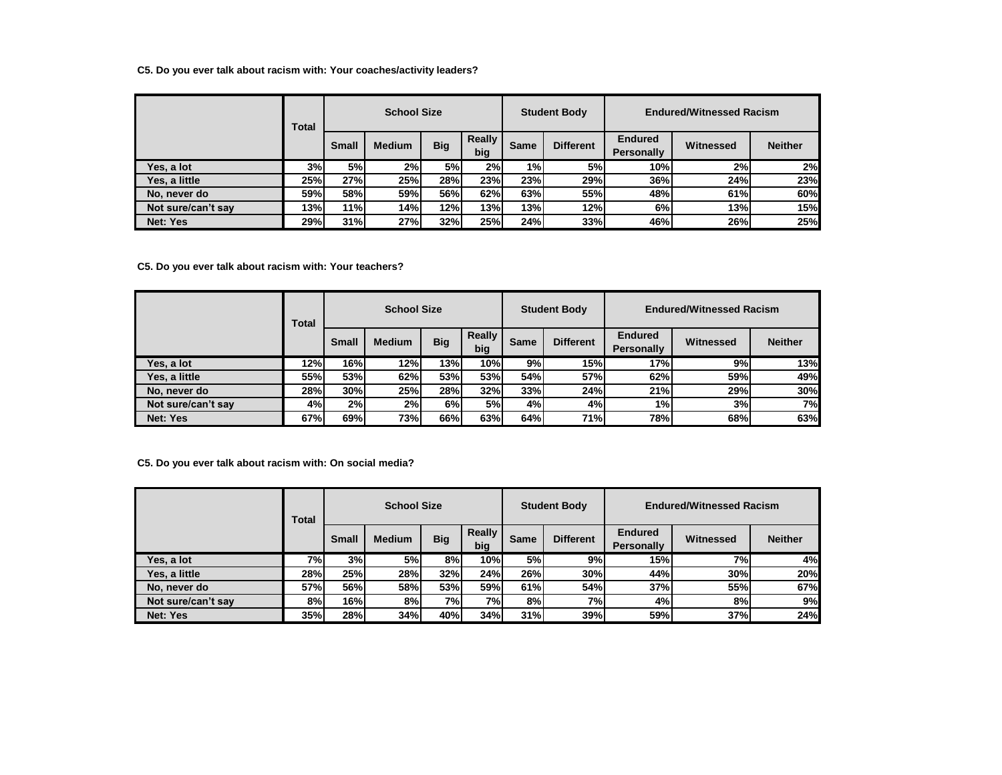## **C5. Do you ever talk about racism with: Your coaches/activity leaders?**

|                    | Total      |              | <b>School Size</b> |            |               |      | <b>Student Body</b> |                                     | <b>Endured/Witnessed Racism</b> |                |
|--------------------|------------|--------------|--------------------|------------|---------------|------|---------------------|-------------------------------------|---------------------------------|----------------|
|                    |            | <b>Small</b> | <b>Medium</b>      | <b>Big</b> | Really<br>big | Same | <b>Different</b>    | <b>Endured</b><br><b>Personally</b> | Witnessed                       | <b>Neither</b> |
| Yes, a lot         | 3%         | 5%           | 2%                 | <b>5%</b>  | 2%            | 1%   | 5%                  | 10%l                                | 2%                              | 2%             |
| Yes, a little      | <b>25%</b> | 27%          | 25%                | 28%        | 23%           | 23%  | 29%                 | <b>36%</b>                          | 24%                             | 23%            |
| No, never do       | 59%        | <b>58%</b>   | 59%                | 56%        | 62%           | 63%  | 55%                 | 48%                                 | 61%                             | 60%            |
| Not sure/can't say | 13%l       | 11%          | 14%                | 12%        | 13%           | 13%  | 12%                 | 6%                                  | 13%                             | 15%            |
| Net: Yes           | 29%l       | 31%          | 27%                | 32%        | 25%           | 24%  | 33%                 | 46%                                 | 26%                             | 25%            |

**C5. Do you ever talk about racism with: Your teachers?**

|                    | Total |              | <b>School Size</b> |            |               |      | <b>Student Body</b> |                                     | <b>Endured/Witnessed Racism</b> |                |
|--------------------|-------|--------------|--------------------|------------|---------------|------|---------------------|-------------------------------------|---------------------------------|----------------|
|                    |       | <b>Small</b> | <b>Medium</b>      | <b>Big</b> | Really<br>big | Same | <b>Different</b>    | <b>Endured</b><br><b>Personally</b> | Witnessed                       | <b>Neither</b> |
| Yes. a lot         | 12%   | <b>16%</b>   | 12%                | 13%        | 10%           | 9%   | 15%                 | 17%                                 | 9%                              | 13%            |
| Yes, a little      | 55%l  | 53%          | 62%                | <b>53%</b> | 53%           | 54%  | 57%                 | 62%                                 | 59%                             | 49%            |
| No, never do       | 28%   | 30%          | <b>25%</b>         | 28%        | 32%           | 33%  | 24%                 | 21%                                 | 29%                             | 30%            |
| Not sure/can't say | 4%    | 2%           | 2%                 | 6%         | 5%            | 4%   | 4%                  | 1%                                  | 3%                              | 7%             |
| Net: Yes           | 67%   | 69%          | <b>73%</b>         | 66%l       | 63%           | 64%  | 71%                 | 78%                                 | 68%                             | 63%            |

**C5. Do you ever talk about racism with: On social media?**

|                    | Total      |              | <b>School Size</b> |            |                      |             | <b>Student Body</b> | <b>Endured/Witnessed Racism</b>     |           |                |  |
|--------------------|------------|--------------|--------------------|------------|----------------------|-------------|---------------------|-------------------------------------|-----------|----------------|--|
|                    |            | <b>Small</b> | <b>Medium</b>      | <b>Big</b> | <b>Really</b><br>big | <b>Same</b> | <b>Different</b>    | <b>Endured</b><br><b>Personally</b> | Witnessed | <b>Neither</b> |  |
| Yes, a lot         | 7% l       | 3%           | 5%                 | 8%         | 10%                  | 5%          | 9%                  | <b>15%</b>                          | <b>7%</b> | 4%             |  |
| Yes. a little      | 28%        | 25%          | 28%                | <b>32%</b> | 24%                  | 26%         | 30%                 | 44%                                 | 30%       | 20%            |  |
| No, never do       | 57%        | 56%          | 58%                | <b>53%</b> | 59%                  | 61%         | 54%                 | <b>37%</b>                          | 55%       | 67%            |  |
| Not sure/can't say | 8%         | 16%          | 8%                 | 7%         | 7%                   | 8%          | 7%                  | 4%                                  | 8%        | 9%             |  |
| Net: Yes           | <b>35%</b> | 28%          | 34%                | 40%l       | 34%                  | 31%         | 39%                 | 59%                                 | 37%       | 24%            |  |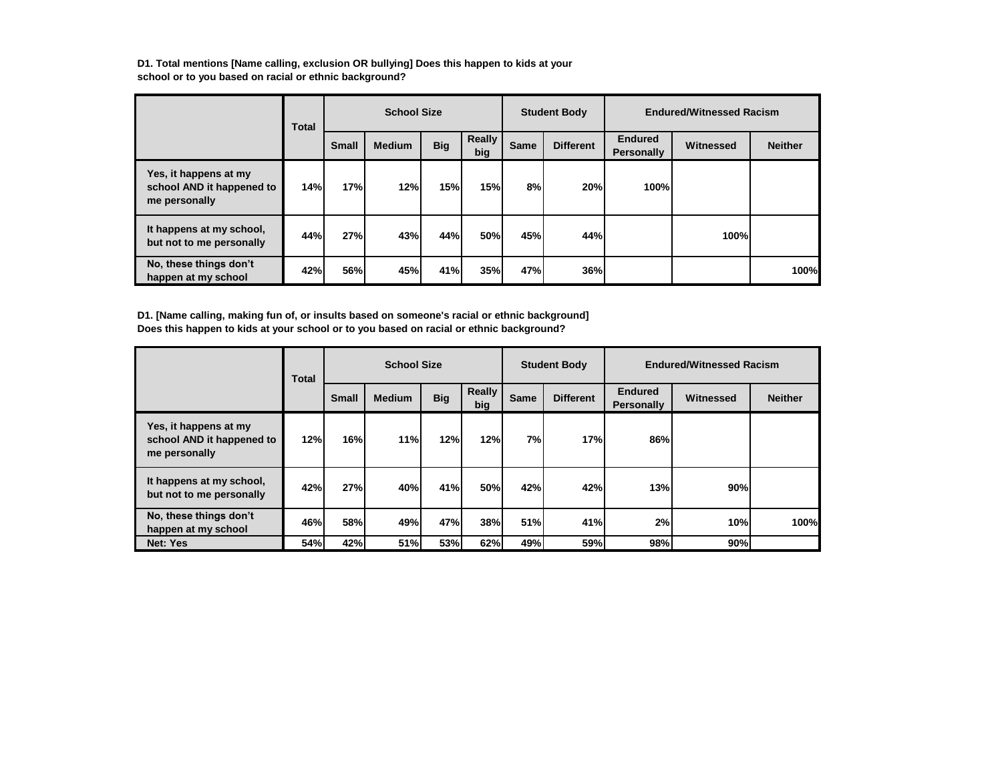**D1. Total mentions [Name calling, exclusion OR bullying] Does this happen to kids at your school or to you based on racial or ethnic background?**

|                                                                     | Total |       | <b>School Size</b> |            |               |             | <b>Student Body</b> |                                     | <b>Endured/Witnessed Racism</b> |                |
|---------------------------------------------------------------------|-------|-------|--------------------|------------|---------------|-------------|---------------------|-------------------------------------|---------------------------------|----------------|
|                                                                     |       | Small | <b>Medium</b>      | <b>Big</b> | Really<br>big | <b>Same</b> | <b>Different</b>    | <b>Endured</b><br><b>Personally</b> | Witnessed                       | <b>Neither</b> |
| Yes, it happens at my<br>school AND it happened to<br>me personally | 14%   | 17%   | 12%                | 15%        | 15%           | 8%          | 20%                 | 100%l                               |                                 |                |
| It happens at my school,<br>but not to me personally                | 44%   | 27%   | 43%                | 44%        | 50%           | 45%         | 44%                 |                                     | 100%                            |                |
| No, these things don't<br>happen at my school                       | 42%   | 56%   | 45%                | 41%        | <b>35%</b>    | 47%         | 36%                 |                                     |                                 | 100%           |

**D1. [Name calling, making fun of, or insults based on someone's racial or ethnic background] Does this happen to kids at your school or to you based on racial or ethnic background?**

|                                                                     | <b>Total</b> |       | <b>School Size</b> |            |                      |             | <b>Student Body</b> |                                     | <b>Endured/Witnessed Racism</b> |                |
|---------------------------------------------------------------------|--------------|-------|--------------------|------------|----------------------|-------------|---------------------|-------------------------------------|---------------------------------|----------------|
|                                                                     |              | Small | <b>Medium</b>      | <b>Big</b> | <b>Really</b><br>big | <b>Same</b> | <b>Different</b>    | <b>Endured</b><br><b>Personally</b> | Witnessed                       | <b>Neither</b> |
| Yes, it happens at my<br>school AND it happened to<br>me personally | 12%          | 16%   | 11%                | 12%        | 12%                  | 7%          | 17%                 | 86%                                 |                                 |                |
| It happens at my school,<br>but not to me personally                | 42%          | 27%   | 40%                | 41%        | 50%                  | 42%         | 42%                 | 13%                                 | 90%                             |                |
| No, these things don't<br>happen at my school                       | 46%          | 58%   | 49%                | 47%        | 38%                  | 51%         | 41%                 | 2%                                  | 10%                             | 100%           |
| Net: Yes                                                            | 54%          | 42%   | 51%                | 53%        | 62%                  | 49%         | 59%                 | 98%                                 | 90%                             |                |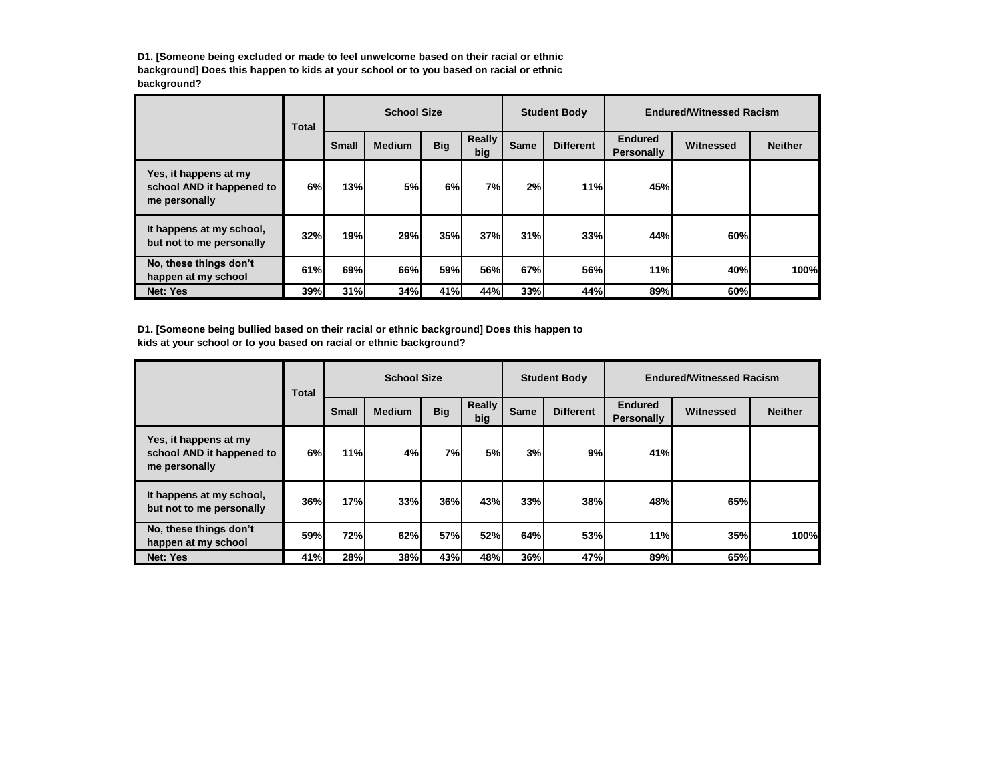**D1. [Someone being excluded or made to feel unwelcome based on their racial or ethnic background] Does this happen to kids at your school or to you based on racial or ethnic background?**

|                                                                     | <b>Total</b> |              | <b>School Size</b> |            |                      |      | <b>Student Body</b> |                                     | <b>Endured/Witnessed Racism</b> |                |
|---------------------------------------------------------------------|--------------|--------------|--------------------|------------|----------------------|------|---------------------|-------------------------------------|---------------------------------|----------------|
|                                                                     |              | <b>Small</b> | <b>Medium</b>      | <b>Big</b> | <b>Really</b><br>big | Same | <b>Different</b>    | <b>Endured</b><br><b>Personally</b> | Witnessed                       | <b>Neither</b> |
| Yes, it happens at my<br>school AND it happened to<br>me personally | 6%           | 13%          | <b>5%</b>          | 6%         | 7%                   | 2%   | 11%                 | 45%                                 |                                 |                |
| It happens at my school,<br>but not to me personally                | 32%          | 19%          | 29%                | 35%        | 37%                  | 31%  | 33%                 | 44%                                 | 60%                             |                |
| No, these things don't<br>happen at my school                       | 61%          | 69%          | 66%                | 59%        | 56%                  | 67%  | 56%                 | 11%                                 | 40%                             | 100%           |
| Net: Yes                                                            | <b>39%</b>   | 31%          | 34%                | 41%        | 44%                  | 33%  | 44%                 | 89%                                 | 60%                             |                |

**D1. [Someone being bullied based on their racial or ethnic background] Does this happen to kids at your school or to you based on racial or ethnic background?**

|                                                                     | <b>Total</b> |              | <b>School Size</b> |            |                      |             | <b>Student Body</b> |                                     | <b>Endured/Witnessed Racism</b> |                |
|---------------------------------------------------------------------|--------------|--------------|--------------------|------------|----------------------|-------------|---------------------|-------------------------------------|---------------------------------|----------------|
|                                                                     |              | <b>Small</b> | <b>Medium</b>      | <b>Big</b> | <b>Really</b><br>big | <b>Same</b> | <b>Different</b>    | <b>Endured</b><br><b>Personally</b> | Witnessed                       | <b>Neither</b> |
| Yes, it happens at my<br>school AND it happened to<br>me personally | 6%           | 11%          | 4%                 | 7%         | 5%                   | 3%          | 9%                  | 41%                                 |                                 |                |
| It happens at my school,<br>but not to me personally                | 36%          | 17%          | 33%                | 36%        | 43%                  | 33%         | 38%                 | 48%                                 | 65%                             |                |
| No, these things don't<br>happen at my school                       | 59%          | 72%          | 62%                | 57%        | 52%                  | 64%         | 53%                 | 11%                                 | 35%                             | 100%           |
| Net: Yes                                                            | 41%          | 28%          | 38%                | 43%        | 48%                  | 36%         | 47%                 | 89%                                 | 65%                             |                |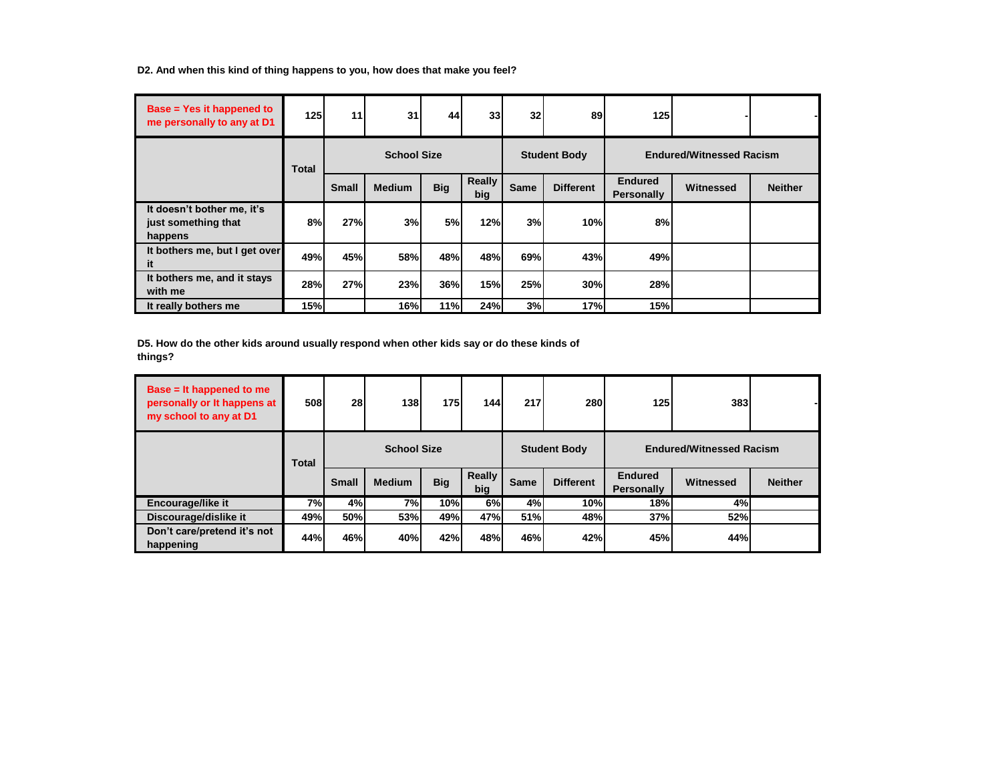**D2. And when this kind of thing happens to you, how does that make you feel?**

| Base = Yes it happened to<br>me personally to any at D1      | 125 <sup>1</sup> | 11           | 31                 | 44         | 33                   | 32          | 89                  | <b>1251</b>                         |                                 |                |
|--------------------------------------------------------------|------------------|--------------|--------------------|------------|----------------------|-------------|---------------------|-------------------------------------|---------------------------------|----------------|
|                                                              | <b>Total</b>     |              | <b>School Size</b> |            |                      |             | <b>Student Body</b> |                                     | <b>Endured/Witnessed Racism</b> |                |
|                                                              |                  | <b>Small</b> | <b>Medium</b>      | <b>Big</b> | <b>Really</b><br>big | <b>Same</b> | <b>Different</b>    | <b>Endured</b><br><b>Personally</b> | Witnessed                       | <b>Neither</b> |
| It doesn't bother me, it's<br>just something that<br>happens | 8%               | 27%          | 3%                 | 5%         | 12%                  | 3%          | 10%                 | 8%                                  |                                 |                |
| It bothers me, but I get over<br>it.                         | 49%              | 45%          | <b>58%</b>         | 48%        | 48%                  | 69%         | 43%                 | 49%                                 |                                 |                |
| It bothers me, and it stays<br>with me                       | 28%              | 27%          | 23%                | 36%        | 15%                  | 25%         | 30%                 | 28%                                 |                                 |                |
| It really bothers me                                         | 15%              |              | 16%                | 11%        | 24%                  | 3%          | 17%                 | 15%                                 |                                 |                |

**D5. How do the other kids around usually respond when other kids say or do these kinds of things?**

| Base $=$ It happened to me<br>personally or It happens at<br>my school to any at D1 | 508   | 28           | 138                | 175        | 144           | 217  | 280                 | 125                                 | 383                             |                |
|-------------------------------------------------------------------------------------|-------|--------------|--------------------|------------|---------------|------|---------------------|-------------------------------------|---------------------------------|----------------|
|                                                                                     | Total |              | <b>School Size</b> |            |               |      | <b>Student Body</b> |                                     | <b>Endured/Witnessed Racism</b> |                |
|                                                                                     |       | <b>Small</b> | <b>Medium</b>      | <b>Big</b> | Really<br>big | Same | <b>Different</b>    | <b>Endured</b><br><b>Personally</b> | Witnessed                       | <b>Neither</b> |
| Encourage/like it                                                                   | 7%l   | 4%           | <b>7%</b>          | 10%        | 6%            | 4%   | 10%                 | 18%                                 | 4%                              |                |
| Discourage/dislike it                                                               | 49%   | 50%          | <b>53%</b>         | 49%        | 47%           | 51%  | 48%                 | 37%                                 | 52%                             |                |
| Don't care/pretend it's not<br>happening                                            | 44%   | 46%          | 40%                | 42%        | 48%           | 46%  | 42%                 | 45%                                 | 44%                             |                |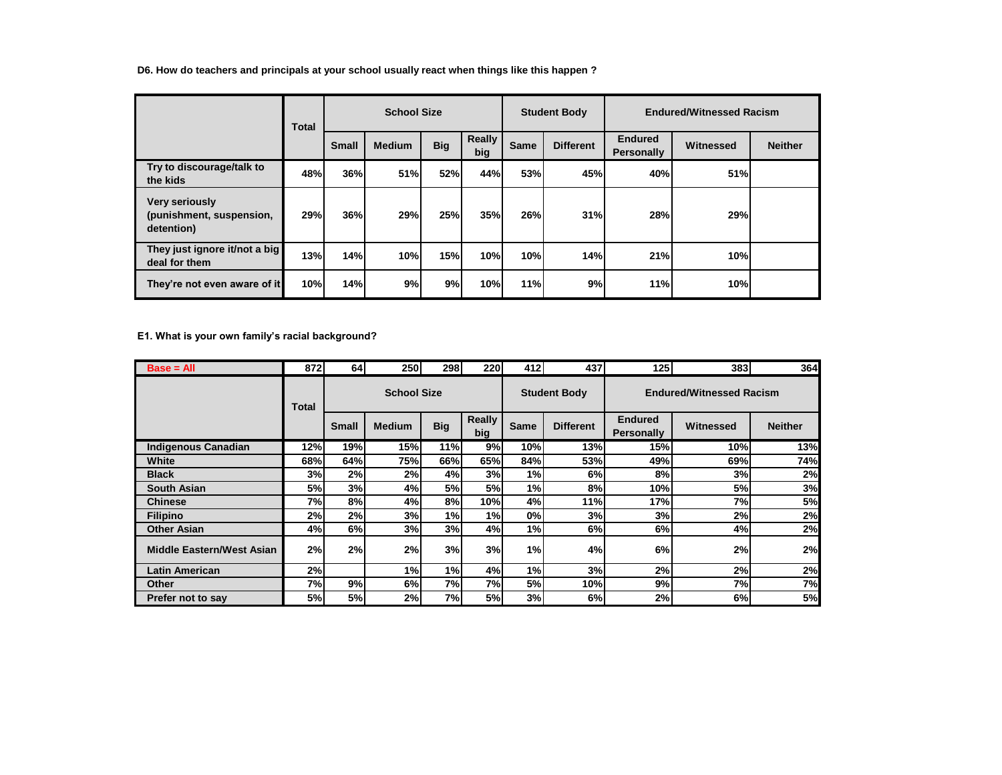**D6. How do teachers and principals at your school usually react when things like this happen ?**

|                                                                 | Total |              | <b>School Size</b> |            |               |             | <b>Student Body</b> |                              | <b>Endured/Witnessed Racism</b> |                |
|-----------------------------------------------------------------|-------|--------------|--------------------|------------|---------------|-------------|---------------------|------------------------------|---------------------------------|----------------|
|                                                                 |       | <b>Small</b> | <b>Medium</b>      | <b>Big</b> | Really<br>big | <b>Same</b> | <b>Different</b>    | <b>Endured</b><br>Personally | Witnessed                       | <b>Neither</b> |
| Try to discourage/talk to<br>the kids                           | 48%   | 36%          | <b>51%</b>         | 52%        | 44%           | 53%         | 45%                 | 40%                          | 51%                             |                |
| <b>Very seriously</b><br>(punishment, suspension,<br>detention) | 29%   | <b>36%</b>   | 29%                | 25%        | 35%           | 26%         | 31%                 | 28%                          | 29%                             |                |
| They just ignore it/not a big<br>deal for them                  | 13%   | 14%          | 10%                | 15%        | 10%           | 10%         | 14%                 | 21%                          | 10%                             |                |
| They're not even aware of it                                    | 10%   | 14%          | 9%                 | 9%         | 10%           | 11%         | 9%                  | 11%                          | 10%                             |                |

**E1. What is your own family's racial background?**

| $Base = All$                     | 8721  | 64           | <b>250</b>         | 298        | 220           | 412         | 437                 | 125                                 | 3831                            | <b>364</b>     |  |
|----------------------------------|-------|--------------|--------------------|------------|---------------|-------------|---------------------|-------------------------------------|---------------------------------|----------------|--|
|                                  | Total |              | <b>School Size</b> |            |               |             | <b>Student Body</b> |                                     | <b>Endured/Witnessed Racism</b> |                |  |
|                                  |       | <b>Small</b> | <b>Medium</b>      | <b>Big</b> | Really<br>big | <b>Same</b> | <b>Different</b>    | <b>Endured</b><br><b>Personally</b> | Witnessed                       | <b>Neither</b> |  |
| <b>Indigenous Canadian</b>       | 12%l  | 19%          | <b>15%</b>         | 11%        | 9%            | 10%         | 13%                 | <b>15%</b>                          | 10%                             | 13%            |  |
| White                            | 68%l  | 64%          | 75%l               | 66%        | 65%           | 84%         | 53%l                | 49%                                 | 69%                             | 74%            |  |
| <b>Black</b>                     | 3%    | 2%           | 2%                 | 4%         | 3%            | 1%          | 6%                  | 8%                                  | 3%                              | 2%             |  |
| <b>South Asian</b>               | 5%    | 3%           | 4%                 | 5%         | 5%            | 1%          | 8%                  | 10%                                 | <b>5%</b>                       | 3%             |  |
| <b>Chinese</b>                   | 7%    | 8%           | 4%                 | 8%         | 10%           | 4%          | 11%                 | 17%                                 | 7%I                             | 5%             |  |
| <b>Filipino</b>                  | 2%    | 2%           | 3%                 | 1%         | 1%            | 0%          | 3%                  | 3%                                  | 2%                              | 2%             |  |
| <b>Other Asian</b>               | 4%    | 6%           | 3%                 | 3%         | 4%            | 1%          | 6%                  | 6%                                  | 4%                              | 2%             |  |
| <b>Middle Eastern/West Asian</b> | 2%    | 2%           | 2%                 | 3%         | 3%            | 1%          | 4%                  | 6%                                  | 2%                              | 2%             |  |
| <b>Latin American</b>            | 2%    |              | 1%                 | 1%         | 4%            | 1%          | 3%                  | 2%                                  | 2%                              | 2%             |  |
| <b>Other</b>                     | 7%    | 9%           | 6%                 | 7%         | 7%            | 5%          | 10%                 | 9%                                  | 7%I                             | 7%             |  |
| Prefer not to say                | 5%    | 5%           | 2%                 | 7%         | 5%            | 3%          | 6%                  | 2%                                  | 6%                              | <b>5%</b>      |  |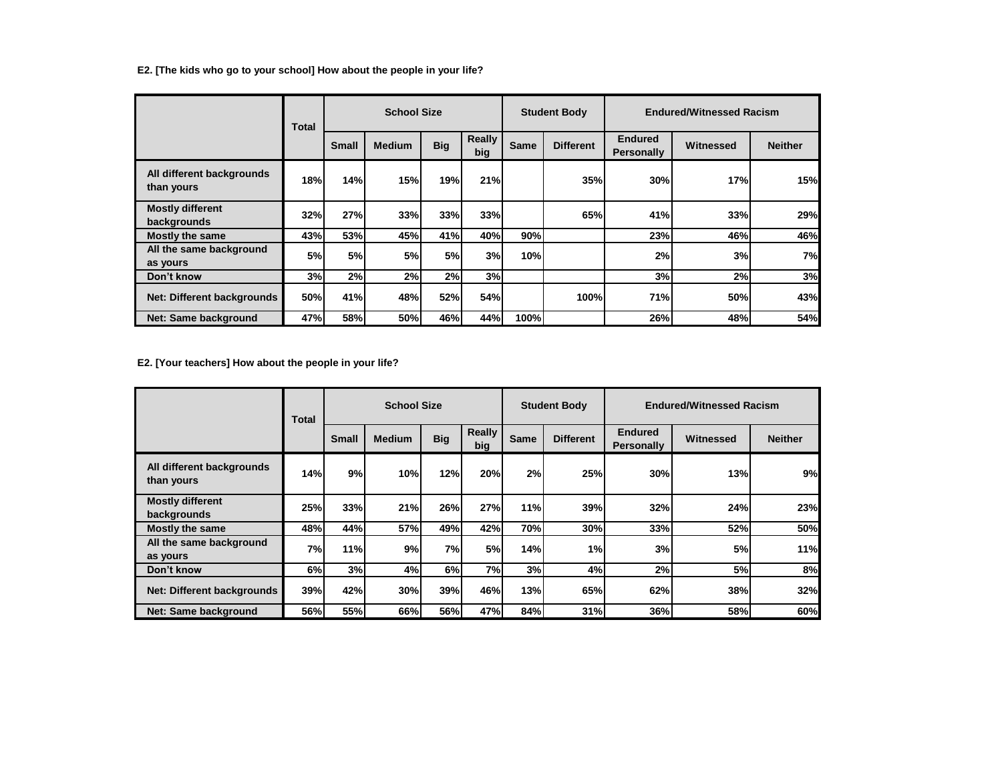**E2. [The kids who go to your school] How about the people in your life?**

|                                         | Total |              | <b>School Size</b> |            |               |             | <b>Student Body</b> |                                     | <b>Endured/Witnessed Racism</b> |                |
|-----------------------------------------|-------|--------------|--------------------|------------|---------------|-------------|---------------------|-------------------------------------|---------------------------------|----------------|
|                                         |       | <b>Small</b> | <b>Medium</b>      | <b>Big</b> | Really<br>big | <b>Same</b> | <b>Different</b>    | <b>Endured</b><br><b>Personally</b> | Witnessed                       | <b>Neither</b> |
| All different backgrounds<br>than yours | 18%   | 14%          | 15%                | 19%        | 21%           |             | 35%                 | 30%                                 | 17%                             | 15%            |
| <b>Mostly different</b><br>backgrounds  | 32%   | <b>27%</b>   | <b>33%</b>         | 33%        | 33%           |             | 65%                 | 41%                                 | 33%                             | 29%            |
| <b>Mostly the same</b>                  | 43%   | <b>53%</b>   | 45%                | 41%        | 40%           | 90%         |                     | 23%                                 | 46%                             | 46%            |
| All the same background<br>as yours     | 5%    | 5%           | 5%                 | 5%         | 3%            | 10%         |                     | 2%                                  | 3%                              | 7%             |
| Don't know                              | 3%    | 2%           | 2%                 | 2%         | 3%            |             |                     | 3%                                  | 2%                              | 3%             |
| <b>Net: Different backgrounds</b>       | 50%   | 41%          | 48%                | 52%        | 54%           |             | 100%                | 71%                                 | 50%                             | 43%            |
| Net: Same background                    | 47%   | <b>58%</b>   | 50%                | 46%        | 44%           | 100%        |                     | 26%                                 | 48%                             | 54%            |

**E2. [Your teachers] How about the people in your life?**

|                                         | Total | <b>School Size</b> |               |            |               | <b>Student Body</b> |                  | <b>Endured/Witnessed Racism</b>     |           |                |
|-----------------------------------------|-------|--------------------|---------------|------------|---------------|---------------------|------------------|-------------------------------------|-----------|----------------|
|                                         |       | <b>Small</b>       | <b>Medium</b> | <b>Big</b> | Really<br>big | Same                | <b>Different</b> | <b>Endured</b><br><b>Personally</b> | Witnessed | <b>Neither</b> |
| All different backgrounds<br>than yours | 14%   | 9%                 | 10%           | 12%        | 20%           | 2%                  | 25%              | 30%                                 | 13%       | 9%             |
| <b>Mostly different</b><br>backgrounds  | 25%   | 33%                | 21%           | 26%        | 27%           | 11%                 | 39%              | 32%                                 | 24%       | 23%            |
| <b>Mostly the same</b>                  | 48%   | 44%                | <b>57%</b>    | 49%        | 42%           | 70%                 | 30%              | 33%                                 | 52%       | 50%            |
| All the same background<br>as yours     | 7%    | 11%                | 9%            | 7%         | 5%            | 14%                 | 1%               | 3%                                  | <b>5%</b> | 11%            |
| Don't know                              | 6%    | 3%                 | 4%            | 6%         | 7%            | 3%                  | 4%               | 2%                                  | 5%        | 8%             |
| Net: Different backgrounds              | 39%   | 42%                | <b>30%</b>    | <b>39%</b> | 46%           | 13%                 | 65%              | 62%                                 | 38%       | 32%            |
| Net: Same background                    | 56%   | 55%                | 66%           | 56%        | 47%           | 84%                 | 31%              | 36%                                 | 58%       | 60%            |